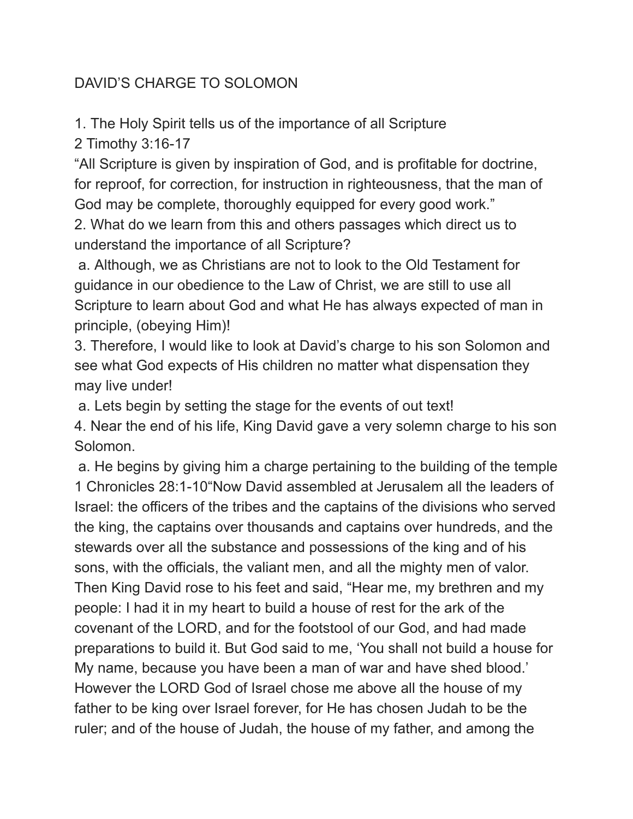## DAVID'S CHARGE TO SOLOMON

1. The Holy Spirit tells us of the importance of all Scripture

2 Timothy 3:16-17

"All Scripture is given by inspiration of God, and is profitable for doctrine, for reproof, for correction, for instruction in righteousness, that the man of God may be complete, thoroughly equipped for every good work."

2. What do we learn from this and others passages which direct us to understand the importance of all Scripture?

a. Although, we as Christians are not to look to the Old Testament for guidance in our obedience to the Law of Christ, we are still to use all Scripture to learn about God and what He has always expected of man in principle, (obeying Him)!

3. Therefore, I would like to look at David's charge to his son Solomon and see what God expects of His children no matter what dispensation they may live under!

a. Lets begin by setting the stage for the events of out text!

4. Near the end of his life, King David gave a very solemn charge to his son Solomon.

a. He begins by giving him a charge pertaining to the building of the temple 1 Chronicles 28:1-10"Now David assembled at Jerusalem all the leaders of Israel: the officers of the tribes and the captains of the divisions who served the king, the captains over thousands and captains over hundreds, and the stewards over all the substance and possessions of the king and of his sons, with the officials, the valiant men, and all the mighty men of valor. Then King David rose to his feet and said, "Hear me, my brethren and my people: I had it in my heart to build a house of rest for the ark of the covenant of the LORD, and for the footstool of our God, and had made preparations to build it. But God said to me, 'You shall not build a house for My name, because you have been a man of war and have shed blood.' However the LORD God of Israel chose me above all the house of my father to be king over Israel forever, for He has chosen Judah to be the ruler; and of the house of Judah, the house of my father, and among the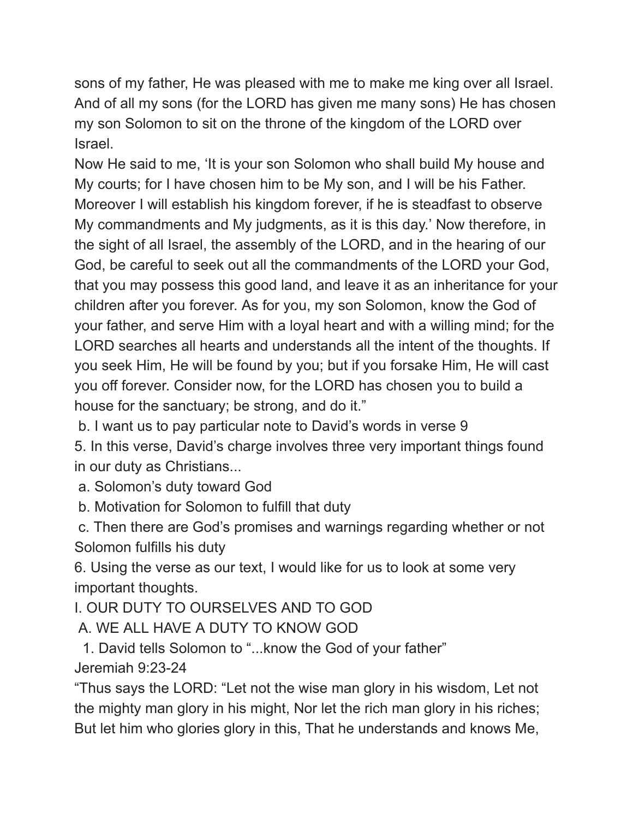sons of my father, He was pleased with me to make me king over all Israel. And of all my sons (for the LORD has given me many sons) He has chosen my son Solomon to sit on the throne of the kingdom of the LORD over Israel.

Now He said to me, 'It is your son Solomon who shall build My house and My courts; for I have chosen him to be My son, and I will be his Father. Moreover I will establish his kingdom forever, if he is steadfast to observe My commandments and My judgments, as it is this day.' Now therefore, in the sight of all Israel, the assembly of the LORD, and in the hearing of our God, be careful to seek out all the commandments of the LORD your God, that you may possess this good land, and leave it as an inheritance for your children after you forever. As for you, my son Solomon, know the God of your father, and serve Him with a loyal heart and with a willing mind; for the LORD searches all hearts and understands all the intent of the thoughts. If you seek Him, He will be found by you; but if you forsake Him, He will cast you off forever. Consider now, for the LORD has chosen you to build a house for the sanctuary; be strong, and do it."

b. I want us to pay particular note to David's words in verse 9

5. In this verse, David's charge involves three very important things found in our duty as Christians...

a. Solomon's duty toward God

b. Motivation for Solomon to fulfill that duty

c. Then there are God's promises and warnings regarding whether or not Solomon fulfills his duty

6. Using the verse as our text, I would like for us to look at some very important thoughts.

I. OUR DUTY TO OURSELVES AND TO GOD

A. WE ALL HAVE A DUTY TO KNOW GOD

1. David tells Solomon to "...know the God of your father" Jeremiah 9:23-24

"Thus says the LORD: "Let not the wise man glory in his wisdom, Let not the mighty man glory in his might, Nor let the rich man glory in his riches; But let him who glories glory in this, That he understands and knows Me,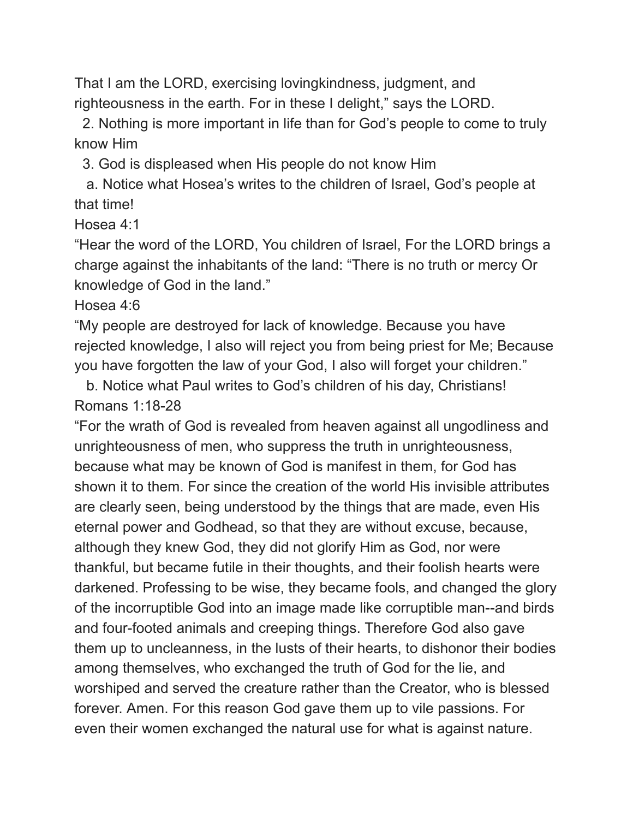That I am the LORD, exercising lovingkindness, judgment, and righteousness in the earth. For in these I delight," says the LORD.

2. Nothing is more important in life than for God's people to come to truly know Him

3. God is displeased when His people do not know Him

a. Notice what Hosea's writes to the children of Israel, God's people at that time!

Hosea 4:1

"Hear the word of the LORD, You children of Israel, For the LORD brings a charge against the inhabitants of the land: "There is no truth or mercy Or knowledge of God in the land."

Hosea 4:6

"My people are destroyed for lack of knowledge. Because you have rejected knowledge, I also will reject you from being priest for Me; Because you have forgotten the law of your God, I also will forget your children."

b. Notice what Paul writes to God's children of his day, Christians! Romans 1:18-28

"For the wrath of God is revealed from heaven against all ungodliness and unrighteousness of men, who suppress the truth in unrighteousness, because what may be known of God is manifest in them, for God has shown it to them. For since the creation of the world His invisible attributes are clearly seen, being understood by the things that are made, even His eternal power and Godhead, so that they are without excuse, because, although they knew God, they did not glorify Him as God, nor were thankful, but became futile in their thoughts, and their foolish hearts were darkened. Professing to be wise, they became fools, and changed the glory of the incorruptible God into an image made like corruptible man--and birds and four-footed animals and creeping things. Therefore God also gave them up to uncleanness, in the lusts of their hearts, to dishonor their bodies among themselves, who exchanged the truth of God for the lie, and worshiped and served the creature rather than the Creator, who is blessed forever. Amen. For this reason God gave them up to vile passions. For even their women exchanged the natural use for what is against nature.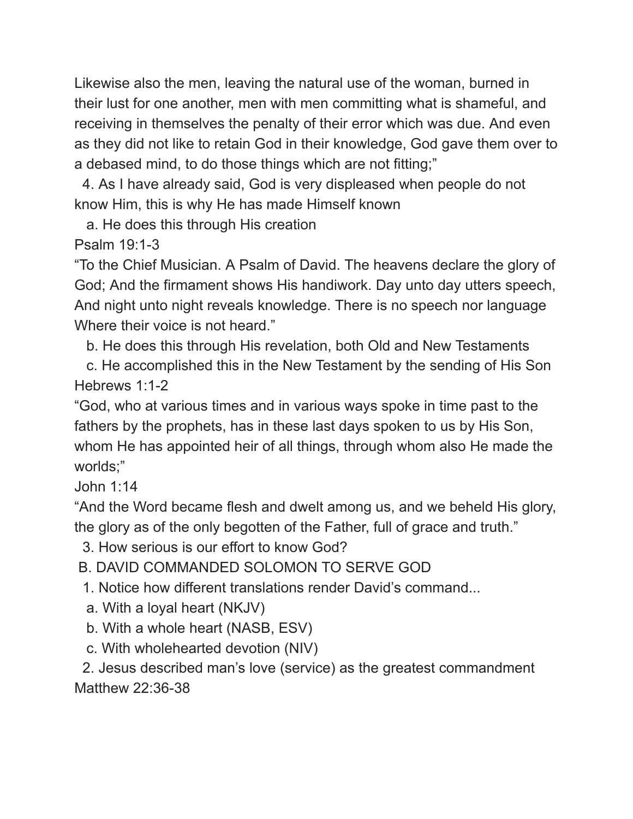Likewise also the men, leaving the natural use of the woman, burned in their lust for one another, men with men committing what is shameful, and receiving in themselves the penalty of their error which was due. And even as they did not like to retain God in their knowledge, God gave them over to a debased mind, to do those things which are not fitting;"

4. As I have already said, God is very displeased when people do not know Him, this is why He has made Himself known

a. He does this through His creation

Psalm 19:1-3

"To the Chief Musician. A Psalm of David. The heavens declare the glory of God; And the firmament shows His handiwork. Day unto day utters speech, And night unto night reveals knowledge. There is no speech nor language Where their voice is not heard."

b. He does this through His revelation, both Old and New Testaments

c. He accomplished this in the New Testament by the sending of His Son Hebrews 1:1-2

"God, who at various times and in various ways spoke in time past to the fathers by the prophets, has in these last days spoken to us by His Son, whom He has appointed heir of all things, through whom also He made the worlds;"

John 1:14

"And the Word became flesh and dwelt among us, and we beheld His glory, the glory as of the only begotten of the Father, full of grace and truth."

3. How serious is our effort to know God?

B. DAVID COMMANDED SOLOMON TO SERVE GOD

1. Notice how different translations render David's command...

- a. With a loyal heart (NKJV)
- b. With a whole heart (NASB, ESV)
- c. With wholehearted devotion (NIV)

2. Jesus described man's love (service) as the greatest commandment Matthew 22:36-38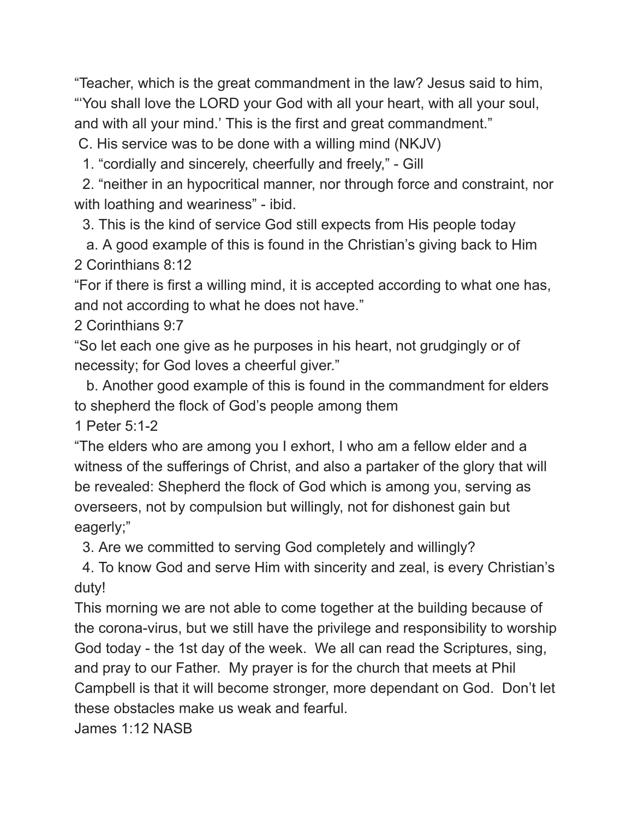"Teacher, which is the great commandment in the law? Jesus said to him, "'You shall love the LORD your God with all your heart, with all your soul, and with all your mind.' This is the first and great commandment."

C. His service was to be done with a willing mind (NKJV)

1. "cordially and sincerely, cheerfully and freely," - Gill

2. "neither in an hypocritical manner, nor through force and constraint, nor with loathing and weariness" - ibid.

3. This is the kind of service God still expects from His people today

a. A good example of this is found in the Christian's giving back to Him 2 Corinthians 8:12

"For if there is first a willing mind, it is accepted according to what one has, and not according to what he does not have."

2 Corinthians 9:7

"So let each one give as he purposes in his heart, not grudgingly or of necessity; for God loves a cheerful giver."

b. Another good example of this is found in the commandment for elders to shepherd the flock of God's people among them

1 Peter 5:1-2

"The elders who are among you I exhort, I who am a fellow elder and a witness of the sufferings of Christ, and also a partaker of the glory that will be revealed: Shepherd the flock of God which is among you, serving as overseers, not by compulsion but willingly, not for dishonest gain but eagerly;"

3. Are we committed to serving God completely and willingly?

4. To know God and serve Him with sincerity and zeal, is every Christian's duty!

This morning we are not able to come together at the building because of the corona-virus, but we still have the privilege and responsibility to worship God today - the 1st day of the week. We all can read the Scriptures, sing, and pray to our Father. My prayer is for the church that meets at Phil Campbell is that it will become stronger, more dependant on God. Don't let these obstacles make us weak and fearful.

James 1:12 NASB